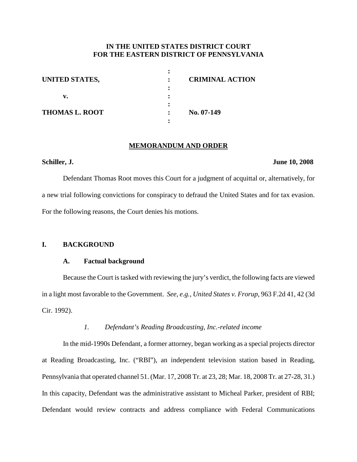# **IN THE UNITED STATES DISTRICT COURT FOR THE EASTERN DISTRICT OF PENNSYLVANIA**

| UNITED STATES,        | <b>CRIMINAL ACTION</b> |  |
|-----------------------|------------------------|--|
|                       |                        |  |
| v.                    |                        |  |
| <b>THOMAS L. ROOT</b> | No. 07-149             |  |
|                       |                        |  |

#### **MEMORANDUM AND ORDER**

# **Schiller, J. June 10, 2008**

Defendant Thomas Root moves this Court for a judgment of acquittal or, alternatively, for a new trial following convictions for conspiracy to defraud the United States and for tax evasion. For the following reasons, the Court denies his motions.

# **I. BACKGROUND**

# **A. Factual background**

Because the Court is tasked with reviewing the jury's verdict, the following facts are viewed in a light most favorable to the Government. *See, e.g.*, *United States v. Frorup*, 963 F.2d 41, 42 (3d Cir. 1992).

# *1. Defendant's Reading Broadcasting, Inc.-related income*

In the mid-1990s Defendant, a former attorney, began working as a special projects director at Reading Broadcasting, Inc. ("RBI"), an independent television station based in Reading, Pennsylvania that operated channel 51. (Mar. 17, 2008 Tr. at 23, 28; Mar. 18, 2008 Tr. at 27-28, 31.) In this capacity, Defendant was the administrative assistant to Micheal Parker, president of RBI; Defendant would review contracts and address compliance with Federal Communications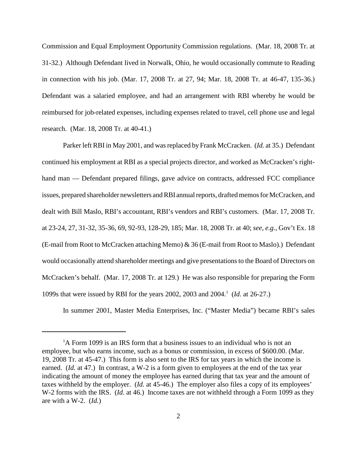Commission and Equal Employment Opportunity Commission regulations. (Mar. 18, 2008 Tr. at 31-32.) Although Defendant lived in Norwalk, Ohio, he would occasionally commute to Reading in connection with his job. (Mar. 17, 2008 Tr. at 27, 94; Mar. 18, 2008 Tr. at 46-47, 135-36.) Defendant was a salaried employee, and had an arrangement with RBI whereby he would be reimbursed for job-related expenses, including expenses related to travel, cell phone use and legal research. (Mar. 18, 2008 Tr. at 40-41.)

Parker left RBI in May 2001, and was replaced by Frank McCracken. (*Id.* at 35.) Defendant continued his employment at RBI as a special projects director, and worked as McCracken's righthand man — Defendant prepared filings, gave advice on contracts, addressed FCC compliance issues, prepared shareholder newsletters and RBI annual reports, drafted memos for McCracken, and dealt with Bill Maslo, RBI's accountant, RBI's vendors and RBI's customers. (Mar. 17, 2008 Tr. at 23-24, 27, 31-32, 35-36, 69, 92-93, 128-29, 185; Mar. 18, 2008 Tr. at 40; *see, e.g.*, Gov't Ex. 18 (E-mail from Root to McCracken attaching Memo) & 36 (E-mail from Root to Maslo).) Defendant would occasionally attend shareholder meetings and give presentations to the Board of Directors on McCracken's behalf. (Mar. 17, 2008 Tr. at 129.) He was also responsible for preparing the Form 1099s that were issued by RBI for the years 2002, 2003 and 2004. <sup>1</sup> (*Id.* at 26-27.)

In summer 2001, Master Media Enterprises, Inc. ("Master Media") became RBI's sales

<sup>&</sup>lt;sup>1</sup>A Form 1099 is an IRS form that a business issues to an individual who is not an employee, but who earns income, such as a bonus or commission, in excess of \$600.00. (Mar. 19, 2008 Tr. at 45-47.) This form is also sent to the IRS for tax years in which the income is earned. (*Id.* at 47.) In contrast, a W-2 is a form given to employees at the end of the tax year indicating the amount of money the employee has earned during that tax year and the amount of taxes withheld by the employer. (*Id.* at 45-46.) The employer also files a copy of its employees' W-2 forms with the IRS. (*Id.* at 46.) Income taxes are not withheld through a Form 1099 as they are with a W-2. (*Id.*)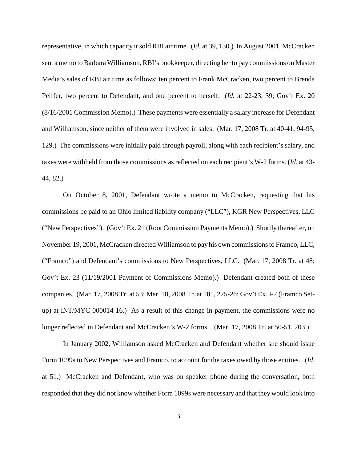representative, in which capacity it sold RBI air time. (*Id.* at 39, 130.) In August 2001, McCracken sent a memo to BarbaraWilliamson,RBI's bookkeeper, directing her to pay commissions on Master Media's sales of RBI air time as follows: ten percent to Frank McCracken, two percent to Brenda Peiffer, two percent to Defendant, and one percent to herself. (*Id.* at 22-23, 39; Gov't Ex. 20 (8/16/2001 Commission Memo).) These payments were essentially a salary increase for Defendant and Williamson, since neither of them were involved in sales. (Mar. 17, 2008 Tr. at 40-41, 94-95, 129.) The commissions were initially paid through payroll, along with each recipient's salary, and taxes were withheld from those commissions as reflected on each recipient's W-2 forms. (*Id.* at 43- 44, 82.)

On October 8, 2001, Defendant wrote a memo to McCracken, requesting that his commissions be paid to an Ohio limited liability company ("LLC"), KGR New Perspectives, LLC ("New Perspectives"). (Gov't Ex. 21 (Root Commission Payments Memo).) Shortly thereafter, on November 19, 2001, McCracken directed Williamson to pay his own commissionsto Framco, LLC, ("Framco") and Defendant's commissions to New Perspectives, LLC. (Mar. 17, 2008 Tr. at 48; Gov't Ex. 23 (11/19/2001 Payment of Commissions Memo).) Defendant created both of these companies. (Mar. 17, 2008 Tr. at 53; Mar. 18, 2008 Tr. at 181, 225-26; Gov't Ex. I-7 (Framco Setup) at INT/MYC 000014-16.) As a result of this change in payment, the commissions were no longer reflected in Defendant and McCracken's W-2 forms. (Mar. 17, 2008 Tr. at 50-51, 203.)

In January 2002, Williamson asked McCracken and Defendant whether she should issue Form 1099s to New Perspectives and Framco, to account for the taxes owed by those entities. (*Id.* at 51.) McCracken and Defendant, who was on speaker phone during the conversation, both responded that they did not know whether Form 1099s were necessary and that they would look into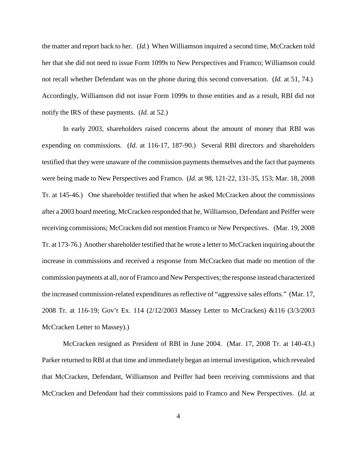the matter and report back to her. (*Id.*) When Williamson inquired a second time, McCracken told her that she did not need to issue Form 1099s to New Perspectives and Framco; Williamson could not recall whether Defendant was on the phone during this second conversation. (*Id.* at 51, 74.) Accordingly, Williamson did not issue Form 1099s to those entities and as a result, RBI did not notify the IRS of these payments. (*Id.* at 52.)

In early 2003, shareholders raised concerns about the amount of money that RBI was expending on commissions. (*Id.* at 116-17, 187-90.) Several RBI directors and shareholders testified that they were unaware of the commission payments themselves and the fact that payments were being made to New Perspectives and Framco. (*Id.* at 98, 121-22, 131-35, 153; Mar. 18, 2008 Tr. at 145-46.) One shareholder testified that when he asked McCracken about the commissions after a 2003 board meeting, McCracken responded that he, Williamson, Defendant and Peiffer were receiving commissions; McCracken did not mention Framco or New Perspectives. (Mar. 19, 2008 Tr. at 173-76.) Another shareholder testified that he wrote a letter to McCracken inquiring about the increase in commissions and received a response from McCracken that made no mention of the commission payments at all, nor of Framco and New Perspectives; the response instead characterized the increased commission-related expenditures as reflective of "aggressive sales efforts." (Mar. 17, 2008 Tr. at 116-19; Gov't Ex. 114 (2/12/2003 Massey Letter to McCracken) &116 (3/3/2003 McCracken Letter to Massey).)

McCracken resigned as President of RBI in June 2004. (Mar. 17, 2008 Tr. at 140-43.) Parker returned to RBI at that time and immediately began an internal investigation, which revealed that McCracken, Defendant, Williamson and Peiffer had been receiving commissions and that McCracken and Defendant had their commissions paid to Framco and New Perspectives. (*Id.* at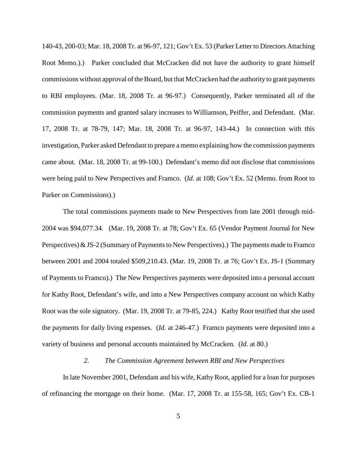140-43, 200-03; Mar. 18, 2008 Tr. at 96-97, 121; Gov't Ex. 53 (Parker Letter to Directors Attaching Root Memo.).) Parker concluded that McCracken did not have the authority to grant himself commissions without approval of the Board, but that McCracken had the authority to grant payments to RBI employees. (Mar. 18, 2008 Tr. at 96-97.) Consequently, Parker terminated all of the commission payments and granted salary increases to Williamson, Peiffer, and Defendant. (Mar. 17, 2008 Tr. at 78-79, 147; Mar. 18, 2008 Tr. at 96-97, 143-44.) In connection with this investigation, Parker asked Defendant to prepare a memo explaining how the commission payments came about. (Mar. 18, 2008 Tr. at 99-100.) Defendant's memo did not disclose that commissions were being paid to New Perspectives and Framco. (*Id.* at 108; Gov't Ex. 52 (Memo. from Root to Parker on Commissions).)

The total commissions payments made to New Perspectives from late 2001 through mid-2004 was \$94,077.34. (Mar. 19, 2008 Tr. at 78; Gov't Ex. 65 (Vendor Payment Journal for New Perspectives)  $\&$  JS-2 (Summary of Payments to New Perspectives).) The payments made to Framco between 2001 and 2004 totaled \$509,210.43. (Mar. 19, 2008 Tr. at 76; Gov't Ex. JS-1 (Summary of Payments to Framco).) The New Perspectives payments were deposited into a personal account for Kathy Root, Defendant's wife, and into a New Perspectives company account on which Kathy Root was the sole signatory. (Mar. 19, 2008 Tr. at 79-85, 224.) Kathy Root testified that she used the payments for daily living expenses. (*Id.* at 246-47.) Framco payments were deposited into a variety of business and personal accounts maintained by McCracken. (*Id.* at 80.)

# *2. The Commission Agreement between RBI and New Perspectives*

In late November 2001, Defendant and his wife, KathyRoot, applied for a loan for purposes of refinancing the mortgage on their home. (Mar. 17, 2008 Tr. at 155-58, 165; Gov't Ex. CB-1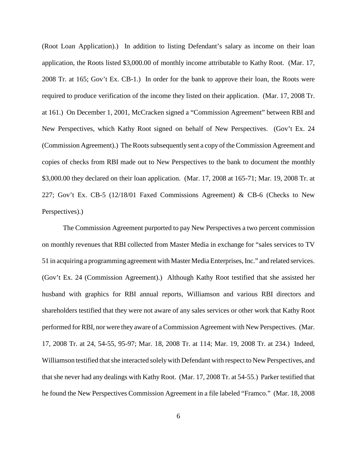(Root Loan Application).) In addition to listing Defendant's salary as income on their loan application, the Roots listed \$3,000.00 of monthly income attributable to Kathy Root. (Mar. 17, 2008 Tr. at 165; Gov't Ex. CB-1.) In order for the bank to approve their loan, the Roots were required to produce verification of the income they listed on their application. (Mar. 17, 2008 Tr. at 161.) On December 1, 2001, McCracken signed a "Commission Agreement" between RBI and New Perspectives, which Kathy Root signed on behalf of New Perspectives. (Gov't Ex. 24 (Commission Agreement).) The Roots subsequently sent a copy of the Commission Agreement and copies of checks from RBI made out to New Perspectives to the bank to document the monthly \$3,000.00 they declared on their loan application. (Mar. 17, 2008 at 165-71; Mar. 19, 2008 Tr. at 227; Gov't Ex. CB-5 (12/18/01 Faxed Commissions Agreement) & CB-6 (Checks to New Perspectives).)

The Commission Agreement purported to pay New Perspectives a two percent commission on monthly revenues that RBI collected from Master Media in exchange for "sales services to TV 51 in acquiring a programming agreement with Master Media Enterprises, Inc." and related services. (Gov't Ex. 24 (Commission Agreement).) Although Kathy Root testified that she assisted her husband with graphics for RBI annual reports, Williamson and various RBI directors and shareholders testified that they were not aware of any sales services or other work that Kathy Root performed for RBI, nor were they aware of a Commission Agreement with New Perspectives. (Mar. 17, 2008 Tr. at 24, 54-55, 95-97; Mar. 18, 2008 Tr. at 114; Mar. 19, 2008 Tr. at 234.) Indeed, Williamson testified that she interacted solely with Defendant with respect to New Perspectives, and that she never had any dealings with Kathy Root. (Mar. 17, 2008 Tr. at 54-55.) Parker testified that he found the New Perspectives Commission Agreement in a file labeled "Framco." (Mar. 18, 2008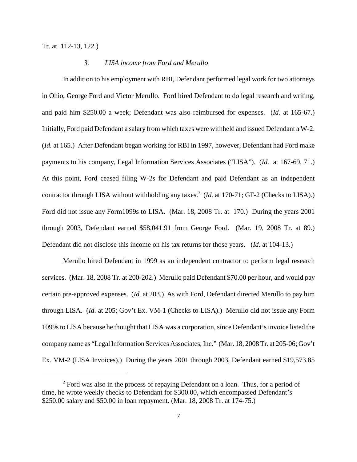Tr. at 112-13, 122.)

#### *3. LISA income from Ford and Merullo*

In addition to his employment with RBI, Defendant performed legal work for two attorneys in Ohio, George Ford and Victor Merullo. Ford hired Defendant to do legal research and writing, and paid him \$250.00 a week; Defendant was also reimbursed for expenses. (*Id.* at 165-67.) Initially, Ford paid Defendant a salary from which taxes were withheld and issued Defendant a W-2. (*Id.* at 165.) After Defendant began working for RBI in 1997, however, Defendant had Ford make payments to his company, Legal Information Services Associates ("LISA"). (*Id.* at 167-69, 71.) At this point, Ford ceased filing W-2s for Defendant and paid Defendant as an independent contractor through LISA without withholding any taxes. <sup>2</sup> (*Id.* at 170-71; GF-2 (Checks to LISA).) Ford did not issue any Form1099s to LISA. (Mar. 18, 2008 Tr. at 170.) During the years 2001 through 2003, Defendant earned \$58,041.91 from George Ford. (Mar. 19, 2008 Tr. at 89.) Defendant did not disclose this income on his tax returns for those years. (*Id.* at 104-13.)

Merullo hired Defendant in 1999 as an independent contractor to perform legal research services. (Mar. 18, 2008 Tr. at 200-202.) Merullo paid Defendant \$70.00 per hour, and would pay certain pre-approved expenses. (*Id.* at 203.) As with Ford, Defendant directed Merullo to pay him through LISA. (*Id.* at 205; Gov't Ex. VM-1 (Checks to LISA).) Merullo did not issue any Form 1099s to LISA because he thought that LISA was a corporation, since Defendant's invoice listed the companyname as "LegalInformation Services Associates,Inc." (Mar. 18, 2008Tr. at 205-06; Gov't Ex. VM-2 (LISA Invoices).) During the years 2001 through 2003, Defendant earned \$19,573.85

<sup>&</sup>lt;sup>2</sup> Ford was also in the process of repaying Defendant on a loan. Thus, for a period of time, he wrote weekly checks to Defendant for \$300.00, which encompassed Defendant's \$250.00 salary and \$50.00 in loan repayment. (Mar. 18, 2008 Tr. at 174-75.)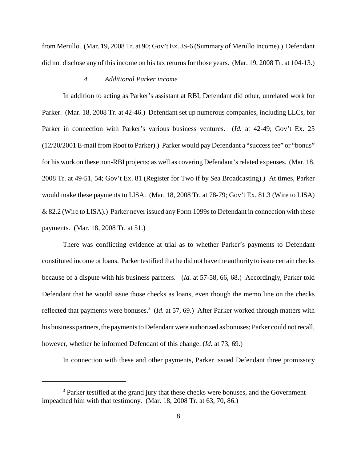from Merullo. (Mar. 19, 2008 Tr. at 90; Gov't Ex.JS-6 (Summary of Merullo Income).) Defendant did not disclose any of this income on his tax returns for those years. (Mar. 19, 2008 Tr. at 104-13.)

#### *4. Additional Parker income*

In addition to acting as Parker's assistant at RBI, Defendant did other, unrelated work for Parker. (Mar. 18, 2008 Tr. at 42-46.) Defendant set up numerous companies, including LLCs, for Parker in connection with Parker's various business ventures. (*Id.* at 42-49; Gov't Ex. 25 (12/20/2001 E-mail from Root to Parker).) Parker would pay Defendant a "successfee" or "bonus" for his work on these non-RBI projects; as well as covering Defendant's related expenses. (Mar. 18, 2008 Tr. at 49-51, 54; Gov't Ex. 81 (Register for Two if by Sea Broadcasting).) At times, Parker would make these payments to LISA. (Mar. 18, 2008 Tr. at 78-79; Gov't Ex. 81.3 (Wire to LISA) & 82.2 (Wire to LISA).) Parker never issued any Form 1099sto Defendant in connection with these payments. (Mar. 18, 2008 Tr. at 51.)

There was conflicting evidence at trial as to whether Parker's payments to Defendant constituted income orloans. Parker testified that he did not have the authority to issue certain checks because of a dispute with his business partners. (*Id.* at 57-58, 66, 68.) Accordingly, Parker told Defendant that he would issue those checks as loans, even though the memo line on the checks reflected that payments were bonuses. <sup>3</sup> (*Id.* at 57, 69.) After Parker worked through matters with his business partners, the payments to Defendant were authorized as bonuses; Parker could not recall, however, whether he informed Defendant of this change. (*Id.* at 73, 69.)

In connection with these and other payments, Parker issued Defendant three promissory

<sup>&</sup>lt;sup>3</sup> Parker testified at the grand jury that these checks were bonuses, and the Government impeached him with that testimony. (Mar. 18, 2008 Tr. at 63, 70, 86.)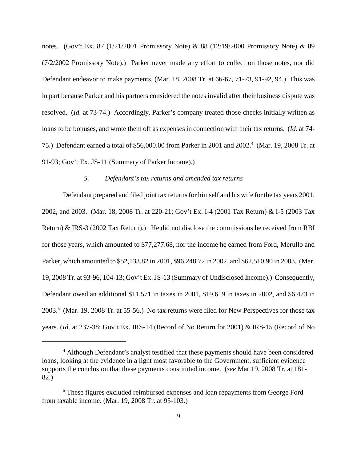notes. (Gov't Ex. 87 (1/21/2001 Promissory Note) & 88 (12/19/2000 Promissory Note) & 89 (7/2/2002 Promissory Note).) Parker never made any effort to collect on those notes, nor did Defendant endeavor to make payments. (Mar. 18, 2008 Tr. at 66-67, 71-73, 91-92, 94.) This was in part because Parker and his partners considered the notes invalid after their business dispute was resolved. (*Id.* at 73-74.) Accordingly, Parker's company treated those checks initially written as loans to be bonuses, and wrote them off as expenses in connection with their tax returns. (*Id.* at 74- 75.) Defendant earned a total of \$56,000.00 from Parker in 2001 and 2002. <sup>4</sup> (Mar. 19, 2008 Tr. at 91-93; Gov't Ex. JS-11 (Summary of Parker Income).)

# *5. Defendant's tax returns and amended tax returns*

Defendant prepared and filed joint tax returns for himself and his wife for the tax years 2001, 2002, and 2003. (Mar. 18, 2008 Tr. at 220-21; Gov't Ex. I-4 (2001 Tax Return) & I-5 (2003 Tax Return) & IRS-3 (2002 Tax Return).) He did not disclose the commissions he received from RBI for those years, which amounted to \$77,277.68, nor the income he earned from Ford, Merullo and Parker, which amounted to \$52,133.82 in 2001, \$96,248.72 in 2002, and \$62,510.90 in 2003. (Mar. 19, 2008 Tr. at 93-96, 104-13; Gov't Ex.JS-13 (Summary of Undisclosed Income).) Consequently, Defendant owed an additional \$11,571 in taxes in 2001, \$19,619 in taxes in 2002, and \$6,473 in 2003. <sup>5</sup> (Mar. 19, 2008 Tr. at 55-56.) No tax returns were filed for New Perspectives for those tax years. (*Id.* at 237-38; Gov't Ex. IRS-14 (Record of No Return for 2001) & IRS-15 (Record of No

<sup>&</sup>lt;sup>4</sup> Although Defendant's analyst testified that these payments should have been considered loans, looking at the evidence in a light most favorable to the Government, sufficient evidence supports the conclusion that these payments constituted income. (*see* Mar.19, 2008 Tr. at 181- 82.)

<sup>&</sup>lt;sup>5</sup> These figures excluded reimbursed expenses and loan repayments from George Ford from taxable income. (Mar. 19, 2008 Tr. at 95-103.)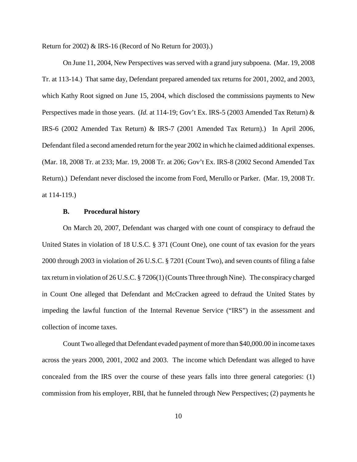Return for 2002) & IRS-16 (Record of No Return for 2003).)

On June 11, 2004, New Perspectives wasserved with a grand jury subpoena. (Mar. 19, 2008 Tr. at 113-14.) That same day, Defendant prepared amended tax returns for 2001, 2002, and 2003, which Kathy Root signed on June 15, 2004, which disclosed the commissions payments to New Perspectives made in those years. (*Id.* at 114-19; Gov't Ex. IRS-5 (2003 Amended Tax Return) & IRS-6 (2002 Amended Tax Return) & IRS-7 (2001 Amended Tax Return).) In April 2006, Defendant filed a second amended return for the year 2002 in which he claimed additional expenses. (Mar. 18, 2008 Tr. at 233; Mar. 19, 2008 Tr. at 206; Gov't Ex. IRS-8 (2002 Second Amended Tax Return).) Defendant never disclosed the income from Ford, Merullo or Parker. (Mar. 19, 2008 Tr. at 114-119.)

# **B. Procedural history**

On March 20, 2007, Defendant was charged with one count of conspiracy to defraud the United States in violation of 18 U.S.C. § 371 (Count One), one count of tax evasion for the years 2000 through 2003 in violation of 26 U.S.C. § 7201 (Count Two), and seven counts of filing a false tax return in violation of 26 U.S.C. § 7206(1)(Counts Three through Nine). The conspiracy charged in Count One alleged that Defendant and McCracken agreed to defraud the United States by impeding the lawful function of the Internal Revenue Service ("IRS") in the assessment and collection of income taxes.

Count Two alleged that Defendant evaded payment of more than \$40,000.00 in income taxes across the years 2000, 2001, 2002 and 2003. The income which Defendant was alleged to have concealed from the IRS over the course of these years falls into three general categories: (1) commission from his employer, RBI, that he funneled through New Perspectives; (2) payments he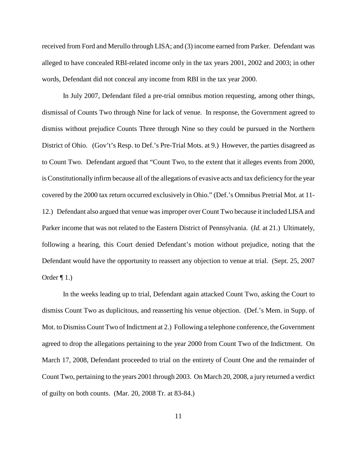received from Ford and Merullo through LISA; and (3) income earned from Parker. Defendant was alleged to have concealed RBI-related income only in the tax years 2001, 2002 and 2003; in other words, Defendant did not conceal any income from RBI in the tax year 2000.

In July 2007, Defendant filed a pre-trial omnibus motion requesting, among other things, dismissal of Counts Two through Nine for lack of venue. In response, the Government agreed to dismiss without prejudice Counts Three through Nine so they could be pursued in the Northern District of Ohio. (Gov't's Resp. to Def.'s Pre-Trial Mots. at 9.) However, the parties disagreed as to Count Two. Defendant argued that "Count Two, to the extent that it alleges events from 2000, isConstitutionally infirm because all of the allegations of evasive acts and tax deficiency forthe year covered by the 2000 tax return occurred exclusively in Ohio." (Def.'s Omnibus Pretrial Mot. at 11- 12.) Defendant also argued that venue wasimproper over Count Two because it included LISA and Parker income that was not related to the Eastern District of Pennsylvania. (*Id.* at 21.) Ultimately, following a hearing, this Court denied Defendant's motion without prejudice, noting that the Defendant would have the opportunity to reassert any objection to venue at trial. (Sept. 25, 2007 Order  $\P$  1.)

In the weeks leading up to trial, Defendant again attacked Count Two, asking the Court to dismiss Count Two as duplicitous, and reasserting his venue objection. (Def.'s Mem. in Supp. of Mot. to Dismiss Count Two of Indictment at 2.) Following a telephone conference, the Government agreed to drop the allegations pertaining to the year 2000 from Count Two of the Indictment. On March 17, 2008, Defendant proceeded to trial on the entirety of Count One and the remainder of Count Two, pertaining to the years 2001 through 2003. On March 20, 2008, a jury returned a verdict of guilty on both counts. (Mar. 20, 2008 Tr. at 83-84.)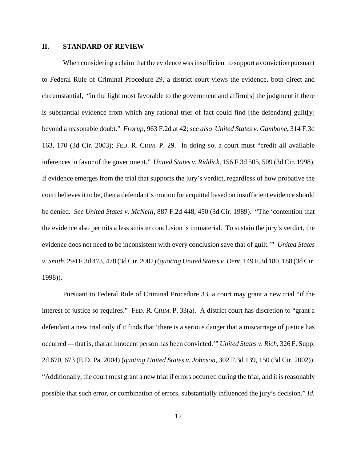# **II. STANDARD OF REVIEW**

When considering a claim that the evidence was insufficient to support a conviction pursuant to Federal Rule of Criminal Procedure 29, a district court views the evidence, both direct and circumstantial, "in the light most favorable to the government and affirm[s] the judgment if there is substantial evidence from which any rational trier of fact could find [the defendant] guilt[y] beyond a reasonable doubt." *Frorup*, 963 F.2d at 42; *see also United States v. Gambone*, 314 F.3d 163, 170 (3d Cir. 2003); FED. R. CRIM. P. 29. In doing so, a court must "credit all available inferences in favor of the government." *United States v. Riddick*, 156 F.3d 505, 509 (3d Cir. 1998). If evidence emerges from the trial that supports the jury's verdict, regardless of how probative the court believesit to be, then a defendant's motion for acquittal based on insufficient evidence should be denied. *See United States v. McNeill*, 887 F.2d 448, 450 (3d Cir. 1989). "The 'contention that the evidence also permits a less sinister conclusion is immaterial. To sustain the jury's verdict, the evidence does not need to be inconsistent with every conclusion save that of guilt.'" *United States v. Smith*, 294 F.3d 473, 478 (3d Cir. 2002) (*quoting United States v. Dent*, 149 F.3d 180, 188 (3d Cir. 1998)).

Pursuant to Federal Rule of Criminal Procedure 33, a court may grant a new trial "if the interest of justice so requires." FED. R. CRIM. P. 33(a). A district court has discretion to "grant a defendant a new trial only if it finds that 'there is a serious danger that a miscarriage of justice has occurred *—* that is, that an innocent person has been convicted.'" *United States v. Rich*, 326 F. Supp. 2d 670, 673 (E.D. Pa. 2004) (*quoting United States v. Johnson*, 302 F.3d 139, 150 (3d Cir. 2002)). "Additionally, the court must grant a new trial if errors occurred during the trial, and it isreasonably possible that such error, or combination of errors, substantially influenced the jury's decision." *Id.*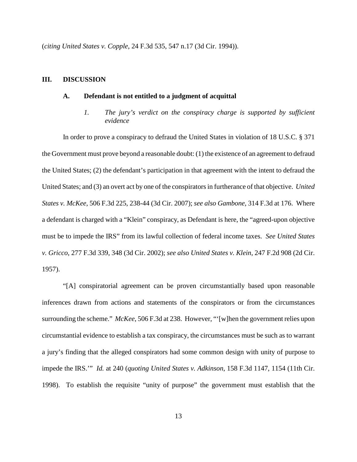(*citing United States v. Copple*, 24 F.3d 535, 547 n.17 (3d Cir. 1994)).

#### **III. DISCUSSION**

# **A. Defendant is not entitled to a judgment of acquittal**

*1. The jury's verdict on the conspiracy charge is supported by sufficient evidence*

In order to prove a conspiracy to defraud the United States in violation of 18 U.S.C. § 371 the Government must prove beyond a reasonable doubt: (1) the existence of an agreement to defraud the United States; (2) the defendant's participation in that agreement with the intent to defraud the United States; and (3) an overt act by one of the conspiratorsin furtherance of that objective. *United States v. McKee*, 506 F.3d 225, 238-44 (3d Cir. 2007); *see also Gambone*, 314 F.3d at 176. Where a defendant is charged with a "Klein" conspiracy, as Defendant is here, the "agreed-upon objective must be to impede the IRS" from its lawful collection of federal income taxes. *See United States v. Gricco*, 277 F.3d 339, 348 (3d Cir. 2002); *see also United States v. Klein*, 247 F.2d 908 (2d Cir. 1957).

"[A] conspiratorial agreement can be proven circumstantially based upon reasonable inferences drawn from actions and statements of the conspirators or from the circumstances surrounding the scheme." *McKee*, 506 F.3d at 238. However, "'[w]hen the government relies upon circumstantial evidence to establish a tax conspiracy, the circumstances must be such as to warrant a jury's finding that the alleged conspirators had some common design with unity of purpose to impede the IRS.'" *Id.* at 240 (*quoting United States v. Adkinson*, 158 F.3d 1147, 1154 (11th Cir. 1998). To establish the requisite "unity of purpose" the government must establish that the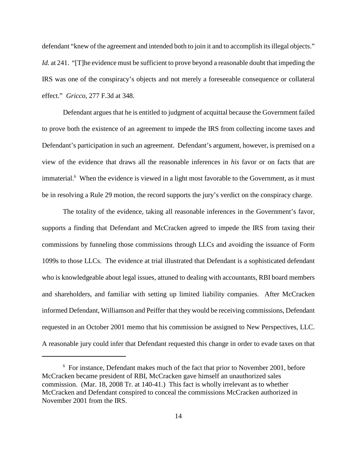defendant "knew of the agreement and intended both to join it and to accomplish its illegal objects." *Id.* at 241. "[T]he evidence must be sufficient to prove beyond a reasonable doubt that impeding the IRS was one of the conspiracy's objects and not merely a foreseeable consequence or collateral effect." *Gricco*, 277 F.3d at 348.

Defendant argues that he is entitled to judgment of acquittal because the Government failed to prove both the existence of an agreement to impede the IRS from collecting income taxes and Defendant's participation in such an agreement. Defendant's argument, however, is premised on a view of the evidence that draws all the reasonable inferences in *his* favor or on facts that are immaterial.<sup>6</sup> When the evidence is viewed in a light most favorable to the Government, as it must be in resolving a Rule 29 motion, the record supports the jury's verdict on the conspiracy charge.

The totality of the evidence, taking all reasonable inferences in the Government's favor, supports a finding that Defendant and McCracken agreed to impede the IRS from taxing their commissions by funneling those commissions through LLCs and avoiding the issuance of Form 1099s to those LLCs. The evidence at trial illustrated that Defendant is a sophisticated defendant who is knowledgeable about legal issues, attuned to dealing with accountants, RBI board members and shareholders, and familiar with setting up limited liability companies. After McCracken informed Defendant, Williamson and Peiffer that they would be receiving commissions, Defendant requested in an October 2001 memo that his commission be assigned to New Perspectives, LLC. A reasonable jury could infer that Defendant requested this change in order to evade taxes on that

 $6$  For instance, Defendant makes much of the fact that prior to November 2001, before McCracken became president of RBI, McCracken gave himself an unauthorized sales commission. (Mar. 18, 2008 Tr. at 140-41.) This fact is wholly irrelevant as to whether McCracken and Defendant conspired to conceal the commissions McCracken authorized in November 2001 from the IRS.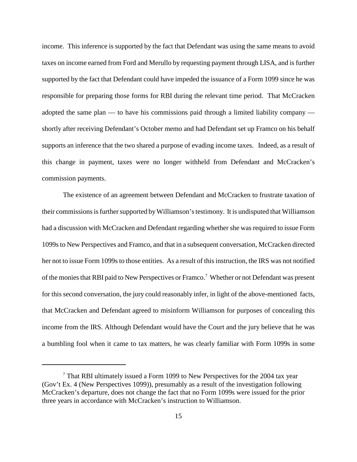income. This inference is supported by the fact that Defendant was using the same means to avoid taxes on income earned from Ford and Merullo by requesting payment through LISA, and is further supported by the fact that Defendant could have impeded the issuance of a Form 1099 since he was responsible for preparing those forms for RBI during the relevant time period. That McCracken adopted the same plan — to have his commissions paid through a limited liability company shortly after receiving Defendant's October memo and had Defendant set up Framco on his behalf supports an inference that the two shared a purpose of evading income taxes. Indeed, as a result of this change in payment, taxes were no longer withheld from Defendant and McCracken's commission payments.

The existence of an agreement between Defendant and McCracken to frustrate taxation of their commissions is further supported by Williamson's testimony. It is undisputed that Williamson had a discussion with McCracken and Defendant regarding whether she was required to issue Form 1099sto New Perspectives and Framco, and that in a subsequent conversation, McCracken directed her not to issue Form 1099s to those entities. As a result of this instruction, the IRS was not notified of the monies that RBI paid to New Perspectives or Framco.<sup>7</sup> Whether or not Defendant was present for this second conversation, the jury could reasonably infer, in light of the above-mentioned facts, that McCracken and Defendant agreed to misinform Williamson for purposes of concealing this income from the IRS. Although Defendant would have the Court and the jury believe that he was a bumbling fool when it came to tax matters, he was clearly familiar with Form 1099s in some

 $7$  That RBI ultimately issued a Form 1099 to New Perspectives for the 2004 tax year (Gov't Ex. 4 (New Perspectives 1099)), presumably as a result of the investigation following McCracken's departure, does not change the fact that no Form 1099s were issued for the prior three years in accordance with McCracken's instruction to Williamson.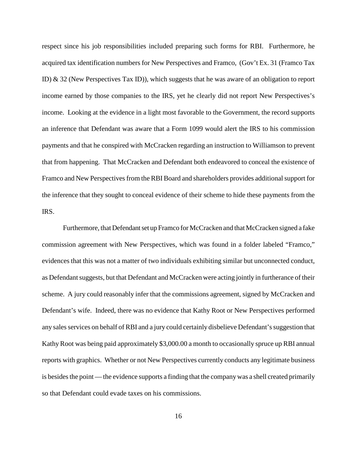respect since his job responsibilities included preparing such forms for RBI. Furthermore, he acquired tax identification numbers for New Perspectives and Framco, (Gov't Ex. 31 (Framco Tax ID) & 32 (New Perspectives Tax ID)), which suggests that he was aware of an obligation to report income earned by those companies to the IRS, yet he clearly did not report New Perspectives's income. Looking at the evidence in a light most favorable to the Government, the record supports an inference that Defendant was aware that a Form 1099 would alert the IRS to his commission payments and that he conspired with McCracken regarding an instruction to Williamson to prevent that from happening. That McCracken and Defendant both endeavored to conceal the existence of Framco and New Perspectives from the RBI Board and shareholders provides additional support for the inference that they sought to conceal evidence of their scheme to hide these payments from the IRS.

Furthermore, that Defendant set up Framco for McCracken and that McCracken signed a fake commission agreement with New Perspectives, which was found in a folder labeled "Framco," evidences that this was not a matter of two individuals exhibiting similar but unconnected conduct, as Defendant suggests, but that Defendant and McCracken were acting jointly in furtherance of their scheme. A jury could reasonably infer that the commissions agreement, signed by McCracken and Defendant's wife. Indeed, there was no evidence that Kathy Root or New Perspectives performed any sales services on behalf of RBI and a jury could certainly disbelieve Defendant's suggestion that Kathy Root was being paid approximately \$3,000.00 a month to occasionally spruce up RBI annual reports with graphics. Whether or not New Perspectives currently conducts any legitimate business is besides the point — the evidence supports a finding that the company was a shell created primarily so that Defendant could evade taxes on his commissions.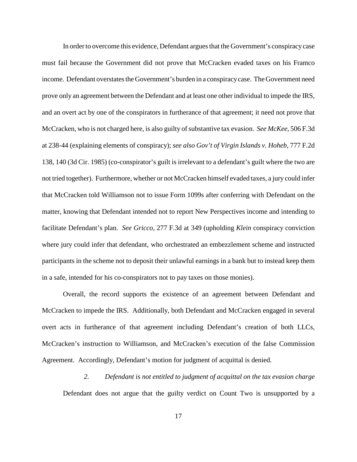In order to overcome this evidence, Defendant argues that the Government's conspiracy case must fail because the Government did not prove that McCracken evaded taxes on his Framco income. Defendant overstates the Government's burden in a conspiracy case. The Government need prove only an agreement between the Defendant and at least one other individual to impede the IRS, and an overt act by one of the conspirators in furtherance of that agreement; it need not prove that McCracken, who is not charged here, is also guilty of substantive tax evasion. *See McKee*, 506 F.3d at 238-44 (explaining elements of conspiracy); *see also Gov't of Virgin Islands v. Hoheb*, 777 F.2d 138, 140 (3d Cir. 1985) (co-conspirator's guilt is irrelevant to a defendant's guilt where the two are not tried together). Furthermore, whether or not McCracken himself evaded taxes, a jury could infer that McCracken told Williamson not to issue Form 1099s after conferring with Defendant on the matter, knowing that Defendant intended not to report New Perspectives income and intending to facilitate Defendant's plan. *See Gricco*, 277 F.3d at 349 (upholding *Klein* conspiracy conviction where jury could infer that defendant, who orchestrated an embezzlement scheme and instructed participants in the scheme not to deposit their unlawful earnings in a bank but to instead keep them in a safe, intended for his co-conspirators not to pay taxes on those monies).

Overall, the record supports the existence of an agreement between Defendant and McCracken to impede the IRS. Additionally, both Defendant and McCracken engaged in several overt acts in furtherance of that agreement including Defendant's creation of both LLCs, McCracken's instruction to Williamson, and McCracken's execution of the false Commission Agreement. Accordingly, Defendant's motion for judgment of acquittal is denied.

*2. Defendant is not entitled to judgment of acquittal on the tax evasion charge* Defendant does not argue that the guilty verdict on Count Two is unsupported by a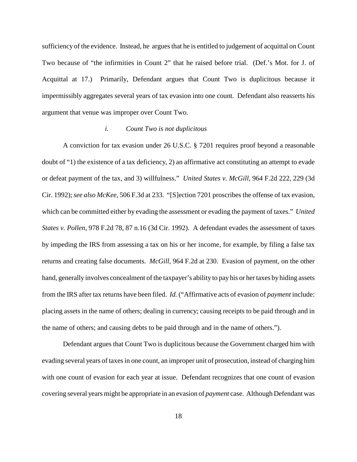sufficiency of the evidence. Instead, he argues that he is entitled to judgement of acquittal on Count Two because of "the infirmities in Count 2" that he raised before trial. (Def.'s Mot. for J. of Acquittal at 17.) Primarily, Defendant argues that Count Two is duplicitous because it impermissibly aggregates several years of tax evasion into one count. Defendant also reasserts his argument that venue was improper over Count Two.

## *i. Count Two is not duplicitous*

A conviction for tax evasion under 26 U.S.C. § 7201 requires proof beyond a reasonable doubt of "1) the existence of a tax deficiency, 2) an affirmative act constituting an attempt to evade or defeat payment of the tax, and 3) willfulness." *United States v. McGill*, 964 F.2d 222, 229 (3d Cir. 1992);*see also McKee*, 506 F.3d at 233. "[S]ection 7201 proscribes the offense of tax evasion, which can be committed either by evading the assessment or evading the payment of taxes." *United States v. Pollen*, 978 F.2d 78, 87 n.16 (3d Cir. 1992). A defendant evades the assessment of taxes by impeding the IRS from assessing a tax on his or her income, for example, by filing a false tax returns and creating false documents. *McGill*, 964 F.2d at 230. Evasion of payment, on the other hand, generally involves concealment of the taxpayer's ability to pay his or hertaxes by hiding assets from the IRS after tax returns have been filed. *Id.* ("Affirmative acts of evasion of *payment* include: placing assets in the name of others; dealing in currency; causing receipts to be paid through and in the name of others; and causing debts to be paid through and in the name of others.").

Defendant argues that Count Two is duplicitous because the Government charged him with evading several years of taxes in one count, an improper unit of prosecution, instead of charging him with one count of evasion for each year at issue. Defendant recognizes that one count of evasion covering several years might be appropriate in an evasion of *payment* case. Although Defendant was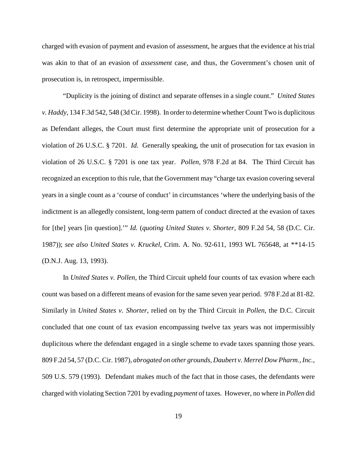charged with evasion of payment and evasion of assessment, he argues that the evidence at his trial was akin to that of an evasion of *assessment* case, and thus, the Government's chosen unit of prosecution is, in retrospect, impermissible.

"Duplicity is the joining of distinct and separate offenses in a single count." *United States v. Haddy*, 134 F.3d 542, 548 (3d Cir. 1998). In order to determine whether Count Two is duplicitous as Defendant alleges, the Court must first determine the appropriate unit of prosecution for a violation of 26 U.S.C. § 7201. *Id.* Generally speaking, the unit of prosecution for tax evasion in violation of 26 U.S.C. § 7201 is one tax year. *Pollen*, 978 F.2d at 84. The Third Circuit has recognized an exception to thisrule, that the Government may "charge tax evasion covering several years in a single count as a 'course of conduct' in circumstances 'where the underlying basis of the indictment is an allegedly consistent, long-term pattern of conduct directed at the evasion of taxes for [the] years [in question].'" *Id.* (*quoting United States v. Shorter*, 809 F.2d 54, 58 (D.C. Cir. 1987)); *see also United States v. Kruckel*, Crim. A. No. 92-611, 1993 WL 765648, at \*\*14-15 (D.N.J. Aug. 13, 1993).

In *United States v. Pollen*, the Third Circuit upheld four counts of tax evasion where each count was based on a different means of evasion for the same seven year period. 978 F.2d at 81-82. Similarly in *United States v. Shorter*, relied on by the Third Circuit in *Pollen*, the D.C. Circuit concluded that one count of tax evasion encompassing twelve tax years was not impermissibly duplicitous where the defendant engaged in a single scheme to evade taxes spanning those years. 809 F.2d 54, 57 (D.C. Cir. 1987), *abrogated on other grounds*, *Daubert v. Merrel Dow Pharm., Inc.*, 509 U.S. 579 (1993). Defendant makes much of the fact that in those cases, the defendants were charged with violating Section 7201 by evading *payment* of taxes. However, no where in *Pollen* did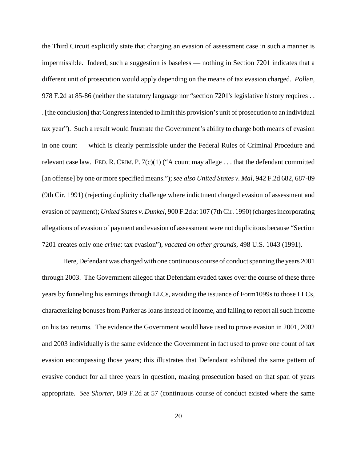the Third Circuit explicitly state that charging an evasion of assessment case in such a manner is impermissible. Indeed, such a suggestion is baseless — nothing in Section 7201 indicates that a different unit of prosecution would apply depending on the means of tax evasion charged. *Pollen*, 978 F.2d at 85-86 (neither the statutory language nor "section 7201's legislative history requires . . .[the conclusion] thatCongressintended to limit this provision's unit of prosecution to an individual tax year"). Such a result would frustrate the Government's ability to charge both means of evasion in one count — which is clearly permissible under the Federal Rules of Criminal Procedure and relevant case law. FED. R. CRIM. P.  $7(c)(1)$  ("A count may allege . . . that the defendant committed [an offense] by one or more specified means.");*see also United States v. Mal*, 942 F.2d 682, 687-89 (9th Cir. 1991) (rejecting duplicity challenge where indictment charged evasion of assessment and evasion of payment); *United States v. Dunkel*, 900 F.2d at 107 (7thCir. 1990)(chargesincorporating allegations of evasion of payment and evasion of assessment were not duplicitous because "Section 7201 creates only one *crime*: tax evasion"), *vacated on other grounds*, 498 U.S. 1043 (1991).

Here, Defendant was charged with one continuous course of conduct spanning the years 2001 through 2003. The Government alleged that Defendant evaded taxes over the course of these three years by funneling his earnings through LLCs, avoiding the issuance of Form1099s to those LLCs, characterizing bonuses from Parker as loans instead of income, and failing to report all such income on his tax returns. The evidence the Government would have used to prove evasion in 2001, 2002 and 2003 individually is the same evidence the Government in fact used to prove one count of tax evasion encompassing those years; this illustrates that Defendant exhibited the same pattern of evasive conduct for all three years in question, making prosecution based on that span of years appropriate. *See Shorter*, 809 F.2d at 57 (continuous course of conduct existed where the same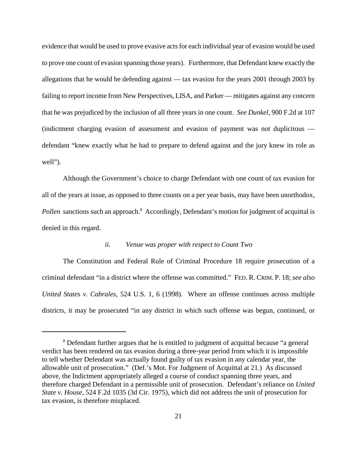evidence that would be used to prove evasive acts for each individual year of evasion would be used to prove one count of evasion spanning those years). Furthermore, that Defendant knew exactly the allegations that he would be defending against — tax evasion for the years 2001 through 2003 by failing to report income from New Perspectives, LISA, and Parker — mitigates against any concern that he was prejudiced by the inclusion of all three years in one count. *See Dunkel*, 900 F.2d at 107 (indictment charging evasion of assessment and evasion of payment was not duplicitous defendant "knew exactly what he had to prepare to defend against and the jury knew its role as well").

Although the Government's choice to charge Defendant with one count of tax evasion for all of the years at issue, as opposed to three counts on a per year basis, may have been unorthodox, Pollen sanctions such an approach.<sup>8</sup> Accordingly, Defendant's motion for judgment of acquittal is denied in this regard.

# *ii. Venue was proper with respect to Count Two*

The Constitution and Federal Rule of Criminal Procedure 18 require prosecution of a criminal defendant "in a district where the offense was committed." FED. R. CRIM. P. 18; *see also United States v. Cabrales*, 524 U.S. 1, 6 (1998). Where an offense continues across multiple districts, it may be prosecuted "in any district in which such offense was begun, continued, or

<sup>&</sup>lt;sup>8</sup> Defendant further argues that he is entitled to judgment of acquittal because "a general" verdict has been rendered on tax evasion during a three-year period from which it is impossible to tell whether Defendant was actually found guilty of tax evasion in any calendar year, the allowable unit of prosecution." (Def.'s Mot. For Judgment of Acquittal at 21.) As discussed above, the Indictment appropriately alleged a course of conduct spanning three years, and therefore charged Defendant in a permissible unit of prosecution. Defendant's reliance on *United State v. House*, 524 F.2d 1035 (3d Cir. 1975), which did not address the unit of prosecution for tax evasion, is therefore misplaced.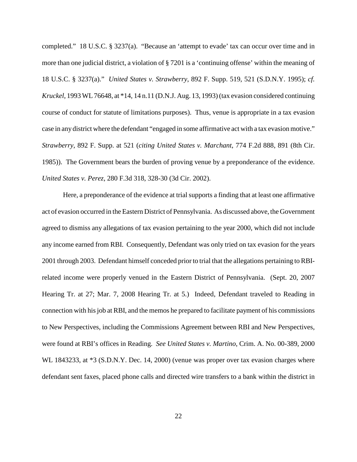completed." 18 U.S.C. § 3237(a). "Because an 'attempt to evade' tax can occur over time and in more than one judicial district, a violation of § 7201 is a 'continuing offense' within the meaning of 18 U.S.C. § 3237(a)." *United States v. Strawberry*, 892 F. Supp. 519, 521 (S.D.N.Y. 1995); *cf. Kruckel*, 1993 WL76648, at \*14, 14 n.11 (D.N.J. Aug. 13, 1993)(tax evasion considered continuing course of conduct for statute of limitations purposes). Thus, venue is appropriate in a tax evasion case in any district where the defendant "engaged in some affirmative act with a tax evasion motive." *Strawberry*, 892 F. Supp. at 521 (*citing United States v. Marchant*, 774 F.2d 888, 891 (8th Cir. 1985)). The Government bears the burden of proving venue by a preponderance of the evidence. *United States v. Perez*, 280 F.3d 318, 328-30 (3d Cir. 2002).

Here, a preponderance of the evidence at trial supports a finding that at least one affirmative act of evasion occurred in the Eastern District of Pennsylvania. As discussed above, the Government agreed to dismiss any allegations of tax evasion pertaining to the year 2000, which did not include any income earned from RBI. Consequently, Defendant was only tried on tax evasion for the years 2001 through 2003. Defendant himself conceded prior to trial that the allegations pertaining to RBIrelated income were properly venued in the Eastern District of Pennsylvania. (Sept. 20, 2007 Hearing Tr. at 27; Mar. 7, 2008 Hearing Tr. at 5.) Indeed, Defendant traveled to Reading in connection with hisjob at RBI, and the memos he prepared to facilitate payment of his commissions to New Perspectives, including the Commissions Agreement between RBI and New Perspectives, were found at RBI's offices in Reading. *See United States v. Martino*, Crim. A. No. 00-389, 2000 WL 1843233, at  $*3$  (S.D.N.Y. Dec. 14, 2000) (venue was proper over tax evasion charges where defendant sent faxes, placed phone calls and directed wire transfers to a bank within the district in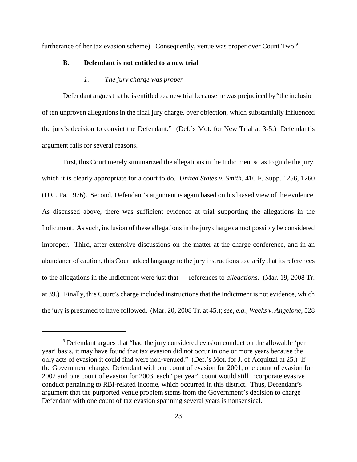furtherance of her tax evasion scheme). Consequently, venue was proper over Count Two.<sup>9</sup>

#### **B. Defendant is not entitled to a new trial**

# *1. The jury charge was proper*

Defendant argues that he is entitled to a new trial because he was prejudiced by "the inclusion of ten unproven allegations in the final jury charge, over objection, which substantially influenced the jury's decision to convict the Defendant." (Def.'s Mot. for New Trial at 3-5.) Defendant's argument fails for several reasons.

First, this Court merely summarized the allegations in the Indictment so as to guide the jury, which it is clearly appropriate for a court to do. *United States v. Smith*, 410 F. Supp. 1256, 1260 (D.C. Pa. 1976). Second, Defendant's argument is again based on his biased view of the evidence. As discussed above, there was sufficient evidence at trial supporting the allegations in the Indictment. As such, inclusion of these allegations in the jury charge cannot possibly be considered improper. Third, after extensive discussions on the matter at the charge conference, and in an abundance of caution, this Court added language to the jury instructions to clarify that its references to the allegations in the Indictment were just that — references to *allegations*. (Mar. 19, 2008 Tr. at 39.) Finally, this Court's charge included instructions that the Indictment is not evidence, which the jury is presumed to have followed. (Mar. 20, 2008 Tr. at 45.); *see, e.g.*, *Weeks v. Angelone*, 528

<sup>9</sup> Defendant argues that "had the jury considered evasion conduct on the allowable 'per year' basis, it may have found that tax evasion did not occur in one or more years because the only acts of evasion it could find were non-venued." (Def.'s Mot. for J. of Acquittal at 25.) If the Government charged Defendant with one count of evasion for 2001, one count of evasion for 2002 and one count of evasion for 2003, each "per year" count would still incorporate evasive conduct pertaining to RBI-related income, which occurred in this district. Thus, Defendant's argument that the purported venue problem stems from the Government's decision to charge Defendant with one count of tax evasion spanning several years is nonsensical.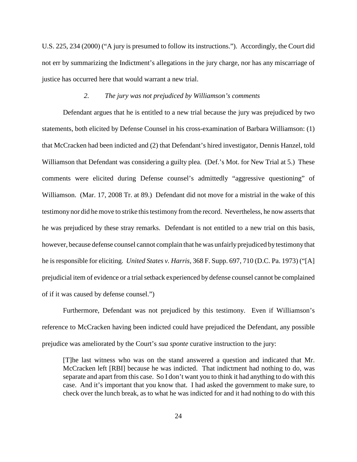U.S. 225, 234 (2000) ("A jury is presumed to follow its instructions."). Accordingly, the Court did not err by summarizing the Indictment's allegations in the jury charge, nor has any miscarriage of justice has occurred here that would warrant a new trial.

#### *2. The jury was not prejudiced by Williamson's comments*

Defendant argues that he is entitled to a new trial because the jury was prejudiced by two statements, both elicited by Defense Counsel in his cross-examination of Barbara Williamson: (1) that McCracken had been indicted and (2) that Defendant's hired investigator, Dennis Hanzel, told Williamson that Defendant was considering a guilty plea. (Def.'s Mot. for New Trial at 5.) These comments were elicited during Defense counsel's admittedly "aggressive questioning" of Williamson. (Mar. 17, 2008 Tr. at 89.) Defendant did not move for a mistrial in the wake of this testimony nor did he move to strike this testimony from the record. Nevertheless, he now asserts that he was prejudiced by these stray remarks. Defendant is not entitled to a new trial on this basis, however, because defense counsel cannot complain that he was unfairly prejudiced by testimony that he is responsible for eliciting. *United States v. Harris*, 368 F. Supp. 697, 710 (D.C. Pa. 1973) ("[A] prejudicial item of evidence or a trial setback experienced by defense counsel cannot be complained of if it was caused by defense counsel.")

Furthermore, Defendant was not prejudiced by this testimony. Even if Williamson's reference to McCracken having been indicted could have prejudiced the Defendant, any possible prejudice was ameliorated by the Court's *sua sponte* curative instruction to the jury:

[T]he last witness who was on the stand answered a question and indicated that Mr. McCracken left [RBI] because he was indicted. That indictment had nothing to do, was separate and apart from this case. So I don't want you to think it had anything to do with this case. And it's important that you know that. I had asked the government to make sure, to check over the lunch break, as to what he was indicted for and it had nothing to do with this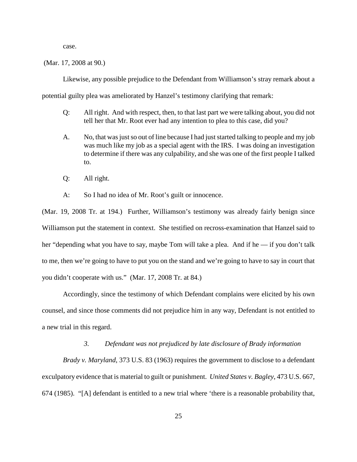case.

(Mar. 17, 2008 at 90.)

Likewise, any possible prejudice to the Defendant from Williamson's stray remark about a potential guilty plea was ameliorated by Hanzel's testimony clarifying that remark:

- Q: All right. And with respect, then, to that last part we were talking about, you did not tell her that Mr. Root ever had any intention to plea to this case, did you?
- A. No, that was just so out of line because I had just started talking to people and my job was much like my job as a special agent with the IRS. I was doing an investigation to determine if there was any culpability, and she was one of the first people I talked to.
- Q: All right.
- A: So I had no idea of Mr. Root's guilt or innocence.

(Mar. 19, 2008 Tr. at 194.) Further, Williamson's testimony was already fairly benign since Williamson put the statement in context. She testified on recross-examination that Hanzel said to her "depending what you have to say, maybe Tom will take a plea. And if he — if you don't talk to me, then we're going to have to put you on the stand and we're going to have to say in court that you didn't cooperate with us." (Mar. 17, 2008 Tr. at 84.)

Accordingly, since the testimony of which Defendant complains were elicited by his own counsel, and since those comments did not prejudice him in any way, Defendant is not entitled to a new trial in this regard.

## *3. Defendant was not prejudiced by late disclosure of Brady information*

*Brady v. Maryland*, 373 U.S. 83 (1963) requires the government to disclose to a defendant exculpatory evidence that is material to guilt or punishment. *United States v. Bagley*, 473 U.S. 667, 674 (1985). "[A] defendant is entitled to a new trial where 'there is a reasonable probability that,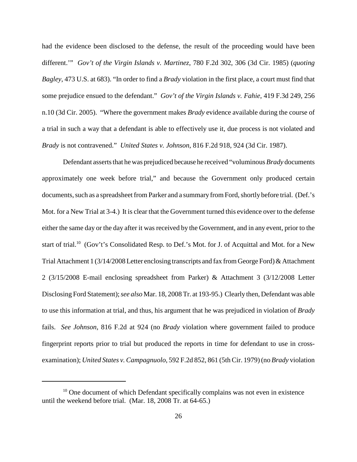had the evidence been disclosed to the defense, the result of the proceeding would have been different.'" *Gov't of the Virgin Islands v. Martinez*, 780 F.2d 302, 306 (3d Cir. 1985) (*quoting Bagley*, 473 U.S. at 683). "In order to find a *Brady* violation in the first place, a court must find that some prejudice ensued to the defendant." *Gov't of the Virgin Islands v. Fahie*, 419 F.3d 249, 256 n.10 (3d Cir. 2005). "Where the government makes *Brady* evidence available during the course of a trial in such a way that a defendant is able to effectively use it, due process is not violated and *Brady* is not contravened." *United States v. Johnson*, 816 F.2d 918, 924 (3d Cir. 1987).

Defendant asserts that he was prejudiced because he received "voluminous *Brady* documents approximately one week before trial," and because the Government only produced certain documents, such as a spreadsheet from Parker and a summary from Ford, shortly before trial. (Def.'s Mot. for a New Trial at 3-4.) It is clear that the Government turned this evidence over to the defense either the same day or the day after it was received by the Government, and in any event, prior to the start of trial.<sup>10</sup> (Gov't's Consolidated Resp. to Def.'s Mot. for J. of Acquittal and Mot. for a New Trial Attachment 1 (3/14/2008 Letter enclosing transcripts and fax from George Ford) & Attachment 2 (3/15/2008 E-mail enclosing spreadsheet from Parker) & Attachment 3 (3/12/2008 Letter Disclosing Ford Statement);*see also* Mar. 18, 2008 Tr. at 193-95.) Clearly then, Defendant was able to use this information at trial, and thus, his argument that he was prejudiced in violation of *Brady* fails. *See Johnson*, 816 F.2d at 924 (no *Brady* violation where government failed to produce fingerprint reports prior to trial but produced the reports in time for defendant to use in crossexamination); *United States v. Campagnuolo*, 592 F.2d 852, 861 (5th Cir. 1979) (no *Brady* violation

 $10$  One document of which Defendant specifically complains was not even in existence until the weekend before trial. (Mar. 18, 2008 Tr. at 64-65.)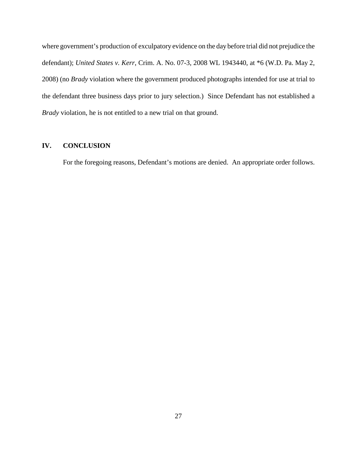where government's production of exculpatory evidence on the day before trial did not prejudice the defendant); *United States v. Kerr*, Crim. A. No. 07-3, 2008 WL 1943440, at \*6 (W.D. Pa. May 2, 2008) (no *Brady* violation where the government produced photographs intended for use at trial to the defendant three business days prior to jury selection.) Since Defendant has not established a *Brady* violation, he is not entitled to a new trial on that ground.

# **IV. CONCLUSION**

For the foregoing reasons, Defendant's motions are denied. An appropriate order follows.